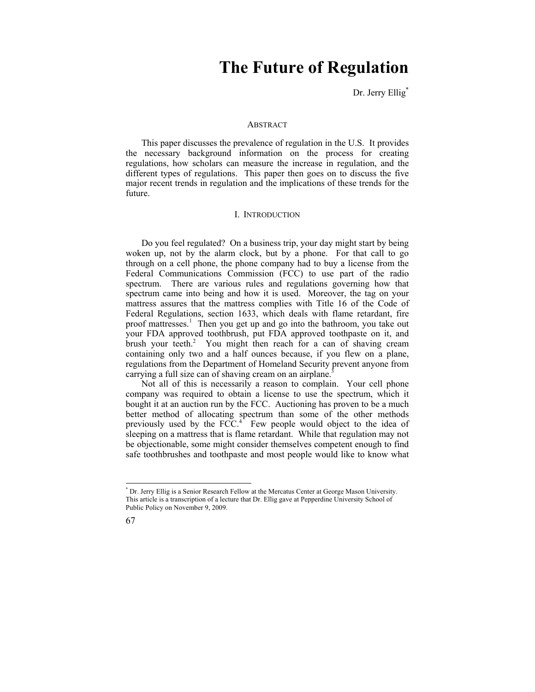# **The Future of Regulation**

Dr. Jerry Ellig<sup>\*</sup>

#### **ABSTRACT**

This paper discusses the prevalence of regulation in the U.S. It provides the necessary background information on the process for creating regulations, how scholars can measure the increase in regulation, and the different types of regulations. This paper then goes on to discuss the five major recent trends in regulation and the implications of these trends for the future.

#### I. INTRODUCTION

Do you feel regulated? On a business trip, your day might start by being woken up, not by the alarm clock, but by a phone. For that call to go through on a cell phone, the phone company had to buy a license from the Federal Communications Commission (FCC) to use part of the radio spectrum. There are various rules and regulations governing how that spectrum came into being and how it is used. Moreover, the tag on your mattress assures that the mattress complies with Title 16 of the Code of Federal Regulations, section 1633, which deals with flame retardant, fire proof mattresses.<sup>1</sup> Then you get up and go into the bathroom, you take out your FDA approved toothbrush, put FDA approved toothpaste on it, and brush your teeth.<sup>2</sup> You might then reach for a can of shaving cream containing only two and a half ounces because, if you flew on a plane, regulations from the Department of Homeland Security prevent anyone from carrying a full size can of shaving cream on an airplane.<sup>3</sup>

Not all of this is necessarily a reason to complain. Your cell phone company was required to obtain a license to use the spectrum, which it bought it at an auction run by the FCC. Auctioning has proven to be a much better method of allocating spectrum than some of the other methods previously used by the  $FCC<sup>4</sup>$ . Few people would object to the idea of sleeping on a mattress that is flame retardant. While that regulation may not be objectionable, some might consider themselves competent enough to find safe toothbrushes and toothpaste and most people would like to know what

<sup>\*</sup> Dr. Jerry Ellig is a Senior Research Fellow at the Mercatus Center at George Mason University. This article is a transcription of a lecture that Dr. Ellig gave at Pepperdine University School of Public Policy on November 9, 2009.



 $\overline{a}$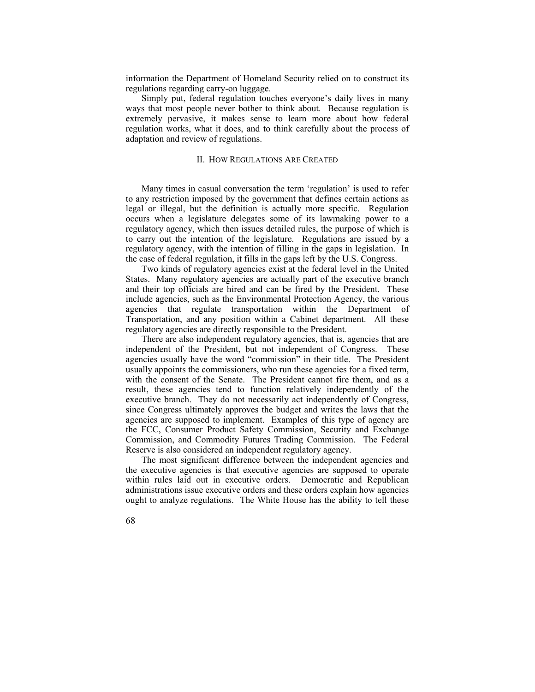information the Department of Homeland Security relied on to construct its regulations regarding carry-on luggage.

Simply put, federal regulation touches everyone's daily lives in many ways that most people never bother to think about. Because regulation is extremely pervasive, it makes sense to learn more about how federal regulation works, what it does, and to think carefully about the process of adaptation and review of regulations.

# II. HOW REGULATIONS ARE CREATED

Many times in casual conversation the term 'regulation' is used to refer to any restriction imposed by the government that defines certain actions as legal or illegal, but the definition is actually more specific. Regulation occurs when a legislature delegates some of its lawmaking power to a regulatory agency, which then issues detailed rules, the purpose of which is to carry out the intention of the legislature. Regulations are issued by a regulatory agency, with the intention of filling in the gaps in legislation. In the case of federal regulation, it fills in the gaps left by the U.S. Congress.

Two kinds of regulatory agencies exist at the federal level in the United States. Many regulatory agencies are actually part of the executive branch and their top officials are hired and can be fired by the President. These include agencies, such as the Environmental Protection Agency, the various agencies that regulate transportation within the Department of Transportation, and any position within a Cabinet department. All these regulatory agencies are directly responsible to the President.

There are also independent regulatory agencies, that is, agencies that are independent of the President, but not independent of Congress. These agencies usually have the word "commission" in their title. The President usually appoints the commissioners, who run these agencies for a fixed term, with the consent of the Senate. The President cannot fire them, and as a result, these agencies tend to function relatively independently of the executive branch. They do not necessarily act independently of Congress, since Congress ultimately approves the budget and writes the laws that the agencies are supposed to implement. Examples of this type of agency are the FCC, Consumer Product Safety Commission, Security and Exchange Commission, and Commodity Futures Trading Commission. The Federal Reserve is also considered an independent regulatory agency.

The most significant difference between the independent agencies and the executive agencies is that executive agencies are supposed to operate within rules laid out in executive orders. Democratic and Republican administrations issue executive orders and these orders explain how agencies ought to analyze regulations. The White House has the ability to tell these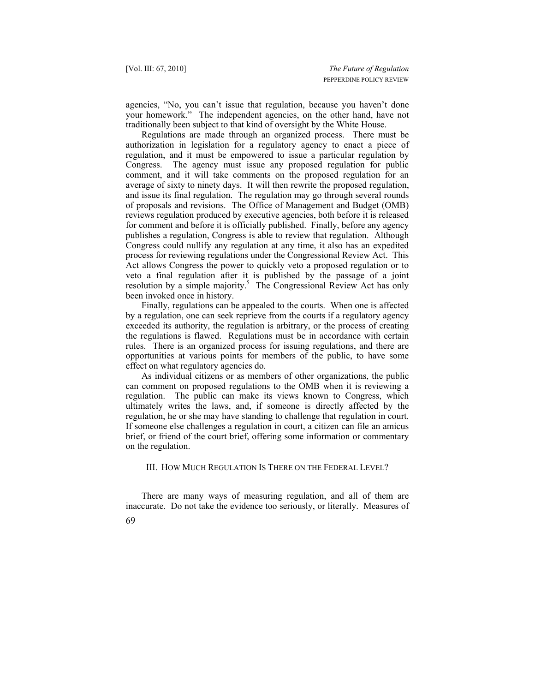agencies, "No, you can't issue that regulation, because you haven't done your homework." The independent agencies, on the other hand, have not traditionally been subject to that kind of oversight by the White House.

Regulations are made through an organized process. There must be authorization in legislation for a regulatory agency to enact a piece of regulation, and it must be empowered to issue a particular regulation by Congress. The agency must issue any proposed regulation for public comment, and it will take comments on the proposed regulation for an average of sixty to ninety days. It will then rewrite the proposed regulation, and issue its final regulation. The regulation may go through several rounds of proposals and revisions. The Office of Management and Budget (OMB) reviews regulation produced by executive agencies, both before it is released for comment and before it is officially published. Finally, before any agency publishes a regulation, Congress is able to review that regulation. Although Congress could nullify any regulation at any time, it also has an expedited process for reviewing regulations under the Congressional Review Act. This Act allows Congress the power to quickly veto a proposed regulation or to veto a final regulation after it is published by the passage of a joint resolution by a simple majority.<sup>5</sup> The Congressional Review Act has only been invoked once in history.

Finally, regulations can be appealed to the courts. When one is affected by a regulation, one can seek reprieve from the courts if a regulatory agency exceeded its authority, the regulation is arbitrary, or the process of creating the regulations is flawed. Regulations must be in accordance with certain rules. There is an organized process for issuing regulations, and there are opportunities at various points for members of the public, to have some effect on what regulatory agencies do.

As individual citizens or as members of other organizations, the public can comment on proposed regulations to the OMB when it is reviewing a regulation. The public can make its views known to Congress, which ultimately writes the laws, and, if someone is directly affected by the regulation, he or she may have standing to challenge that regulation in court. If someone else challenges a regulation in court, a citizen can file an amicus brief, or friend of the court brief, offering some information or commentary on the regulation.

III. HOW MUCH REGULATION IS THERE ON THE FEDERAL LEVEL?

There are many ways of measuring regulation, and all of them are inaccurate. Do not take the evidence too seriously, or literally. Measures of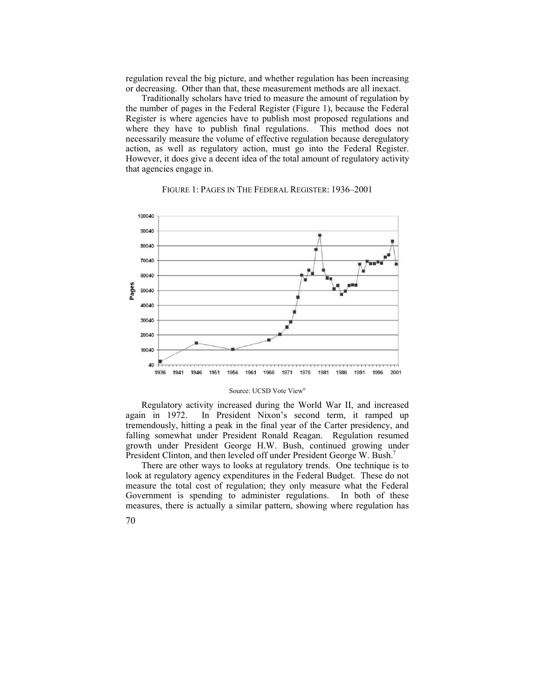regulation reveal the big picture, and whether regulation has been increasing or decreasing. Other than that, these measurement methods are all inexact.

Traditionally scholars have tried to measure the amount of regulation by the number of pages in the Federal Register (Figure 1), because the Federal Register is where agencies have to publish most proposed regulations and where they have to publish final regulations. This method does not necessarily measure the volume of effective regulation because deregulatory action, as well as regulatory action, must go into the Federal Register. However, it does give a decent idea of the total amount of regulatory activity that agencies engage in.



# FIGURE 1: PAGES IN THE FEDERAL REGISTER: 1936–2001

#### Source: UCSD Vote View<sup>6</sup>

Regulatory activity increased during the World War II, and increased again in 1972. In President Nixon's second term, it ramped up tremendously, hitting a peak in the final year of the Carter presidency, and falling somewhat under President Ronald Reagan. Regulation resumed growth under President George H.W. Bush, continued growing under President Clinton, and then leveled off under President George W. Bush.<sup>7</sup>

There are other ways to looks at regulatory trends. One technique is to look at regulatory agency expenditures in the Federal Budget. These do not measure the total cost of regulation; they only measure what the Federal Government is spending to administer regulations. In both of these measures, there is actually a similar pattern, showing where regulation has

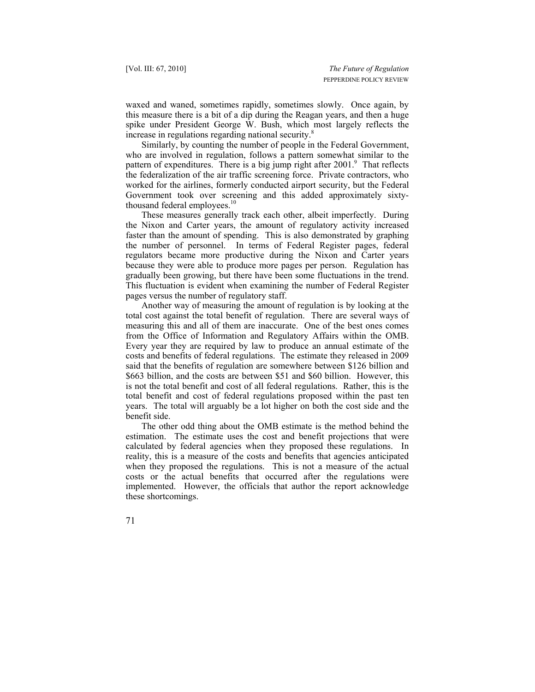waxed and waned, sometimes rapidly, sometimes slowly. Once again, by this measure there is a bit of a dip during the Reagan years, and then a huge spike under President George W. Bush, which most largely reflects the increase in regulations regarding national security.<sup>8</sup>

Similarly, by counting the number of people in the Federal Government, who are involved in regulation, follows a pattern somewhat similar to the pattern of expenditures. There is a big jump right after 2001.<sup>9</sup> That reflects the federalization of the air traffic screening force. Private contractors, who worked for the airlines, formerly conducted airport security, but the Federal Government took over screening and this added approximately sixtythousand federal employees.<sup>10</sup>

These measures generally track each other, albeit imperfectly. During the Nixon and Carter years, the amount of regulatory activity increased faster than the amount of spending. This is also demonstrated by graphing the number of personnel. In terms of Federal Register pages, federal regulators became more productive during the Nixon and Carter years because they were able to produce more pages per person. Regulation has gradually been growing, but there have been some fluctuations in the trend. This fluctuation is evident when examining the number of Federal Register pages versus the number of regulatory staff.

Another way of measuring the amount of regulation is by looking at the total cost against the total benefit of regulation. There are several ways of measuring this and all of them are inaccurate. One of the best ones comes from the Office of Information and Regulatory Affairs within the OMB. Every year they are required by law to produce an annual estimate of the costs and benefits of federal regulations. The estimate they released in 2009 said that the benefits of regulation are somewhere between \$126 billion and \$663 billion, and the costs are between \$51 and \$60 billion. However, this is not the total benefit and cost of all federal regulations. Rather, this is the total benefit and cost of federal regulations proposed within the past ten years. The total will arguably be a lot higher on both the cost side and the benefit side.

The other odd thing about the OMB estimate is the method behind the estimation. The estimate uses the cost and benefit projections that were calculated by federal agencies when they proposed these regulations. In reality, this is a measure of the costs and benefits that agencies anticipated when they proposed the regulations. This is not a measure of the actual costs or the actual benefits that occurred after the regulations were implemented. However, the officials that author the report acknowledge these shortcomings.

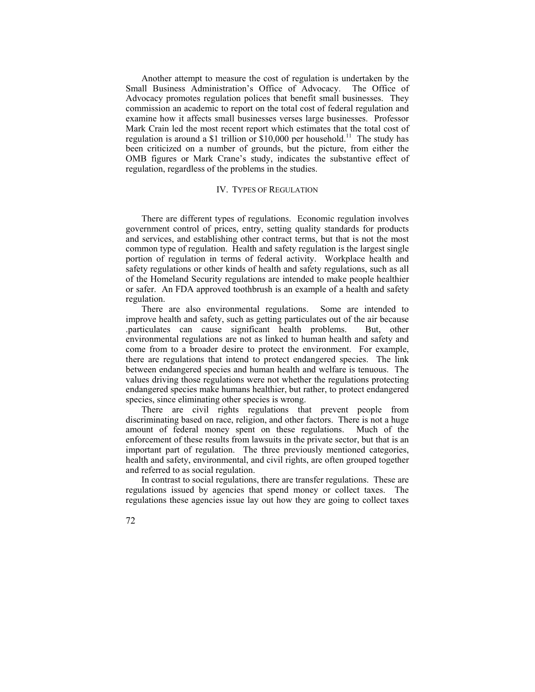Another attempt to measure the cost of regulation is undertaken by the Small Business Administration's Office of Advocacy. The Office of Advocacy promotes regulation polices that benefit small businesses. They commission an academic to report on the total cost of federal regulation and examine how it affects small businesses verses large businesses. Professor Mark Crain led the most recent report which estimates that the total cost of regulation is around a \$1 trillion or \$10,000 per household.<sup>11</sup> The study has been criticized on a number of grounds, but the picture, from either the OMB figures or Mark Crane's study, indicates the substantive effect of regulation, regardless of the problems in the studies.

## IV. TYPES OF REGULATION

There are different types of regulations. Economic regulation involves government control of prices, entry, setting quality standards for products and services, and establishing other contract terms, but that is not the most common type of regulation. Health and safety regulation is the largest single portion of regulation in terms of federal activity. Workplace health and safety regulations or other kinds of health and safety regulations, such as all of the Homeland Security regulations are intended to make people healthier or safer. An FDA approved toothbrush is an example of a health and safety regulation.

There are also environmental regulations. Some are intended to improve health and safety, such as getting particulates out of the air because .particulates can cause significant health problems. But, other environmental regulations are not as linked to human health and safety and come from to a broader desire to protect the environment. For example, there are regulations that intend to protect endangered species. The link between endangered species and human health and welfare is tenuous. The values driving those regulations were not whether the regulations protecting endangered species make humans healthier, but rather, to protect endangered species, since eliminating other species is wrong.

There are civil rights regulations that prevent people from discriminating based on race, religion, and other factors. There is not a huge amount of federal money spent on these regulations. Much of the enforcement of these results from lawsuits in the private sector, but that is an important part of regulation. The three previously mentioned categories, health and safety, environmental, and civil rights, are often grouped together and referred to as social regulation.

In contrast to social regulations, there are transfer regulations. These are regulations issued by agencies that spend money or collect taxes. The regulations these agencies issue lay out how they are going to collect taxes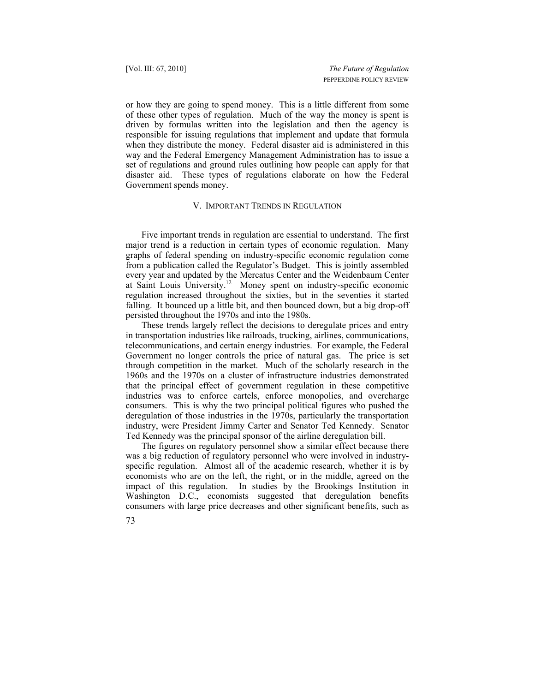or how they are going to spend money. This is a little different from some of these other types of regulation. Much of the way the money is spent is driven by formulas written into the legislation and then the agency is responsible for issuing regulations that implement and update that formula when they distribute the money. Federal disaster aid is administered in this way and the Federal Emergency Management Administration has to issue a set of regulations and ground rules outlining how people can apply for that disaster aid. These types of regulations elaborate on how the Federal Government spends money.

#### V. IMPORTANT TRENDS IN REGULATION

Five important trends in regulation are essential to understand. The first major trend is a reduction in certain types of economic regulation. Many graphs of federal spending on industry-specific economic regulation come from a publication called the Regulator's Budget. This is jointly assembled every year and updated by the Mercatus Center and the Weidenbaum Center at Saint Louis University.12 Money spent on industry-specific economic regulation increased throughout the sixties, but in the seventies it started falling. It bounced up a little bit, and then bounced down, but a big drop-off persisted throughout the 1970s and into the 1980s.

These trends largely reflect the decisions to deregulate prices and entry in transportation industries like railroads, trucking, airlines, communications, telecommunications, and certain energy industries. For example, the Federal Government no longer controls the price of natural gas. The price is set through competition in the market. Much of the scholarly research in the 1960s and the 1970s on a cluster of infrastructure industries demonstrated that the principal effect of government regulation in these competitive industries was to enforce cartels, enforce monopolies, and overcharge consumers. This is why the two principal political figures who pushed the deregulation of those industries in the 1970s, particularly the transportation industry, were President Jimmy Carter and Senator Ted Kennedy. Senator Ted Kennedy was the principal sponsor of the airline deregulation bill.

The figures on regulatory personnel show a similar effect because there was a big reduction of regulatory personnel who were involved in industryspecific regulation. Almost all of the academic research, whether it is by economists who are on the left, the right, or in the middle, agreed on the impact of this regulation. In studies by the Brookings Institution in Washington D.C., economists suggested that deregulation benefits consumers with large price decreases and other significant benefits, such as

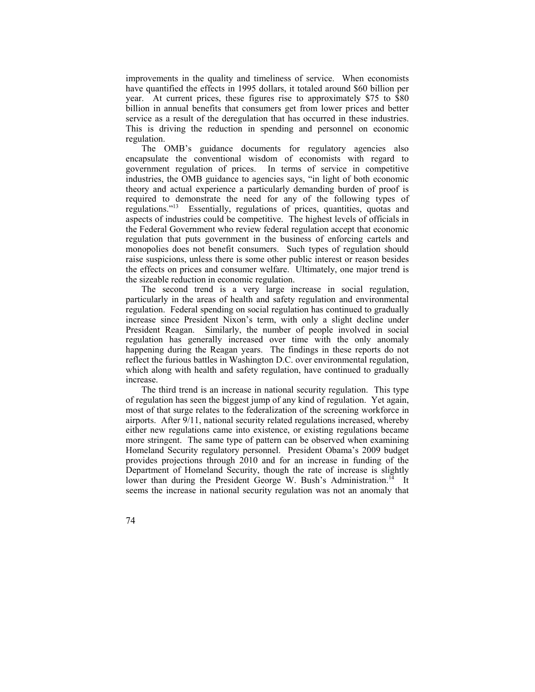improvements in the quality and timeliness of service. When economists have quantified the effects in 1995 dollars, it totaled around \$60 billion per year. At current prices, these figures rise to approximately \$75 to \$80 billion in annual benefits that consumers get from lower prices and better service as a result of the deregulation that has occurred in these industries. This is driving the reduction in spending and personnel on economic regulation.

The OMB's guidance documents for regulatory agencies also encapsulate the conventional wisdom of economists with regard to government regulation of prices. In terms of service in competitive industries, the OMB guidance to agencies says, "in light of both economic theory and actual experience a particularly demanding burden of proof is required to demonstrate the need for any of the following types of regulations.<sup>713</sup> Essentially, regulations of prices, quantities, quotas and Essentially, regulations of prices, quantities, quotas and aspects of industries could be competitive. The highest levels of officials in the Federal Government who review federal regulation accept that economic regulation that puts government in the business of enforcing cartels and monopolies does not benefit consumers. Such types of regulation should raise suspicions, unless there is some other public interest or reason besides the effects on prices and consumer welfare. Ultimately, one major trend is the sizeable reduction in economic regulation.

The second trend is a very large increase in social regulation, particularly in the areas of health and safety regulation and environmental regulation. Federal spending on social regulation has continued to gradually increase since President Nixon's term, with only a slight decline under President Reagan. Similarly, the number of people involved in social regulation has generally increased over time with the only anomaly happening during the Reagan years. The findings in these reports do not reflect the furious battles in Washington D.C. over environmental regulation, which along with health and safety regulation, have continued to gradually increase.

The third trend is an increase in national security regulation. This type of regulation has seen the biggest jump of any kind of regulation. Yet again, most of that surge relates to the federalization of the screening workforce in airports. After 9/11, national security related regulations increased, whereby either new regulations came into existence, or existing regulations became more stringent. The same type of pattern can be observed when examining Homeland Security regulatory personnel. President Obama's 2009 budget provides projections through 2010 and for an increase in funding of the Department of Homeland Security, though the rate of increase is slightly lower than during the President George W. Bush's Administration.<sup>14</sup> It seems the increase in national security regulation was not an anomaly that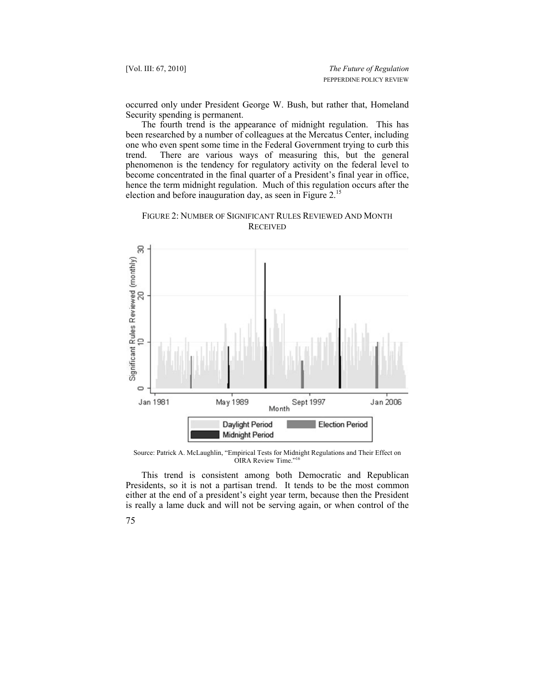[Vol. III: 67, 2010] *The Future of Regulation* PEPPERDINE POLICY REVIEW

occurred only under President George W. Bush, but rather that, Homeland Security spending is permanent.

The fourth trend is the appearance of midnight regulation. This has been researched by a number of colleagues at the Mercatus Center, including one who even spent some time in the Federal Government trying to curb this trend. There are various ways of measuring this, but the general phenomenon is the tendency for regulatory activity on the federal level to become concentrated in the final quarter of a President's final year in office, hence the term midnight regulation. Much of this regulation occurs after the election and before inauguration day, as seen in Figure 2.<sup>15</sup>





Source: Patrick A. McLaughlin, "Empirical Tests for Midnight Regulations and Their Effect on OIRA Review Time."<sup>16</sup>

This trend is consistent among both Democratic and Republican Presidents, so it is not a partisan trend. It tends to be the most common either at the end of a president's eight year term, because then the President is really a lame duck and will not be serving again, or when control of the

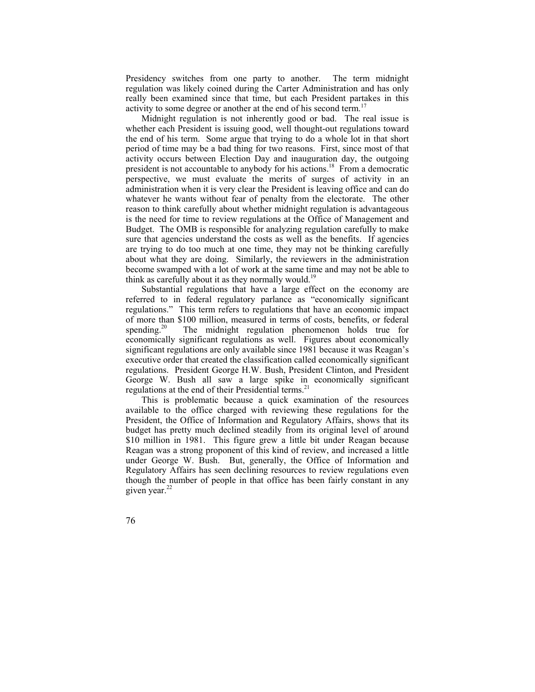Presidency switches from one party to another. The term midnight regulation was likely coined during the Carter Administration and has only really been examined since that time, but each President partakes in this activity to some degree or another at the end of his second term.<sup>17</sup>

Midnight regulation is not inherently good or bad. The real issue is whether each President is issuing good, well thought-out regulations toward the end of his term. Some argue that trying to do a whole lot in that short period of time may be a bad thing for two reasons. First, since most of that activity occurs between Election Day and inauguration day, the outgoing president is not accountable to anybody for his actions.<sup>18</sup> From a democratic perspective, we must evaluate the merits of surges of activity in an administration when it is very clear the President is leaving office and can do whatever he wants without fear of penalty from the electorate. The other reason to think carefully about whether midnight regulation is advantageous is the need for time to review regulations at the Office of Management and Budget. The OMB is responsible for analyzing regulation carefully to make sure that agencies understand the costs as well as the benefits. If agencies are trying to do too much at one time, they may not be thinking carefully about what they are doing. Similarly, the reviewers in the administration become swamped with a lot of work at the same time and may not be able to think as carefully about it as they normally would.<sup>19</sup>

Substantial regulations that have a large effect on the economy are referred to in federal regulatory parlance as "economically significant regulations." This term refers to regulations that have an economic impact of more than \$100 million, measured in terms of costs, benefits, or federal spending.<sup>20</sup> The midnight regulation phenomenon holds true for economically significant regulations as well. Figures about economically significant regulations are only available since 1981 because it was Reagan's executive order that created the classification called economically significant regulations. President George H.W. Bush, President Clinton, and President George W. Bush all saw a large spike in economically significant regulations at the end of their Presidential terms.<sup>21</sup>

This is problematic because a quick examination of the resources available to the office charged with reviewing these regulations for the President, the Office of Information and Regulatory Affairs, shows that its budget has pretty much declined steadily from its original level of around \$10 million in 1981. This figure grew a little bit under Reagan because Reagan was a strong proponent of this kind of review, and increased a little under George W. Bush. But, generally, the Office of Information and Regulatory Affairs has seen declining resources to review regulations even though the number of people in that office has been fairly constant in any given year.<sup>22</sup>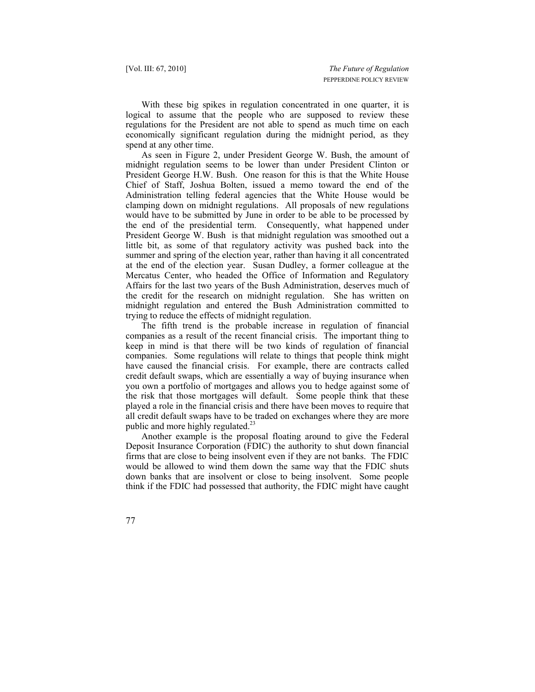With these big spikes in regulation concentrated in one quarter, it is logical to assume that the people who are supposed to review these regulations for the President are not able to spend as much time on each economically significant regulation during the midnight period, as they spend at any other time.

As seen in Figure 2, under President George W. Bush, the amount of midnight regulation seems to be lower than under President Clinton or President George H.W. Bush. One reason for this is that the White House Chief of Staff, Joshua Bolten, issued a memo toward the end of the Administration telling federal agencies that the White House would be clamping down on midnight regulations. All proposals of new regulations would have to be submitted by June in order to be able to be processed by the end of the presidential term. Consequently, what happened under President George W. Bush is that midnight regulation was smoothed out a little bit, as some of that regulatory activity was pushed back into the summer and spring of the election year, rather than having it all concentrated at the end of the election year. Susan Dudley, a former colleague at the Mercatus Center, who headed the Office of Information and Regulatory Affairs for the last two years of the Bush Administration, deserves much of the credit for the research on midnight regulation. She has written on midnight regulation and entered the Bush Administration committed to trying to reduce the effects of midnight regulation.

The fifth trend is the probable increase in regulation of financial companies as a result of the recent financial crisis. The important thing to keep in mind is that there will be two kinds of regulation of financial companies. Some regulations will relate to things that people think might have caused the financial crisis. For example, there are contracts called credit default swaps, which are essentially a way of buying insurance when you own a portfolio of mortgages and allows you to hedge against some of the risk that those mortgages will default. Some people think that these played a role in the financial crisis and there have been moves to require that all credit default swaps have to be traded on exchanges where they are more public and more highly regulated.<sup>23</sup>

Another example is the proposal floating around to give the Federal Deposit Insurance Corporation (FDIC) the authority to shut down financial firms that are close to being insolvent even if they are not banks. The FDIC would be allowed to wind them down the same way that the FDIC shuts down banks that are insolvent or close to being insolvent. Some people think if the FDIC had possessed that authority, the FDIC might have caught

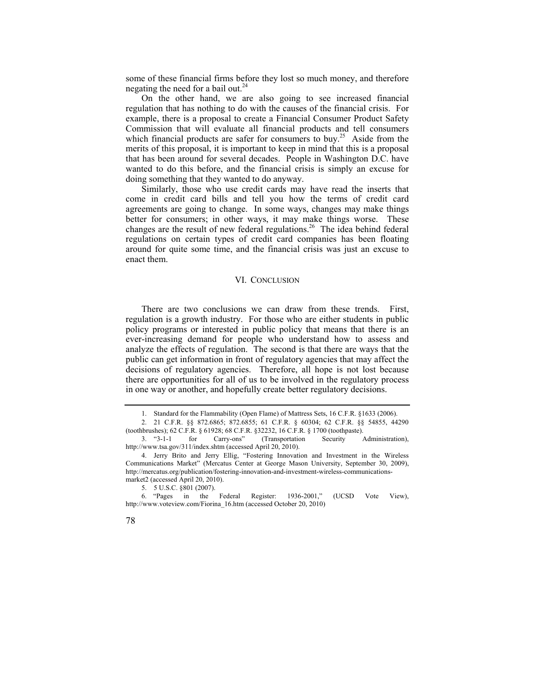some of these financial firms before they lost so much money, and therefore negating the need for a bail out.<sup>24</sup>

On the other hand, we are also going to see increased financial regulation that has nothing to do with the causes of the financial crisis. For example, there is a proposal to create a Financial Consumer Product Safety Commission that will evaluate all financial products and tell consumers which financial products are safer for consumers to buy.<sup>25</sup> Aside from the merits of this proposal, it is important to keep in mind that this is a proposal that has been around for several decades. People in Washington D.C. have wanted to do this before, and the financial crisis is simply an excuse for doing something that they wanted to do anyway.

Similarly, those who use credit cards may have read the inserts that come in credit card bills and tell you how the terms of credit card agreements are going to change. In some ways, changes may make things better for consumers; in other ways, it may make things worse. These changes are the result of new federal regulations.<sup>26</sup> The idea behind federal regulations on certain types of credit card companies has been floating around for quite some time, and the financial crisis was just an excuse to enact them.

## VI. CONCLUSION

There are two conclusions we can draw from these trends. First, regulation is a growth industry. For those who are either students in public policy programs or interested in public policy that means that there is an ever-increasing demand for people who understand how to assess and analyze the effects of regulation. The second is that there are ways that the public can get information in front of regulatory agencies that may affect the decisions of regulatory agencies. Therefore, all hope is not lost because there are opportunities for all of us to be involved in the regulatory process in one way or another, and hopefully create better regulatory decisions.

(toothbrushes); 62 C.F.R. § 61928; 68 C.F.R. §32232, 16 C.F.R. § 1700 (toothpaste). 3. "3-1-1 for Carry-ons" (Transportation Security Administration), http://www.tsa.gov/311/index.shtm (accessed April 20, 2010).

<sup>5. 5</sup> U.S.C. §801 (2007).<br>6. "Pages in the in the Federal Register: 1936-2001," (UCSD Vote View), http://www.voteview.com/Fiorina\_16.htm (accessed October 20, 2010)



 <sup>1.</sup> Standard for the Flammability (Open Flame) of Mattress Sets, 16 C.F.R. §1633 (2006). 2. 21 C.F.R. §§ 872.6865; 872.6855; 61 C.F.R. § 60304; 62 C.F.R. §§ 54855, 44290

 <sup>4.</sup> Jerry Brito and Jerry Ellig, "Fostering Innovation and Investment in the Wireless Communications Market" (Mercatus Center at George Mason University, September 30, 2009), http://mercatus.org/publication/fostering-innovation-and-investment-wireless-communicationsmarket2 (accessed April 20, 2010).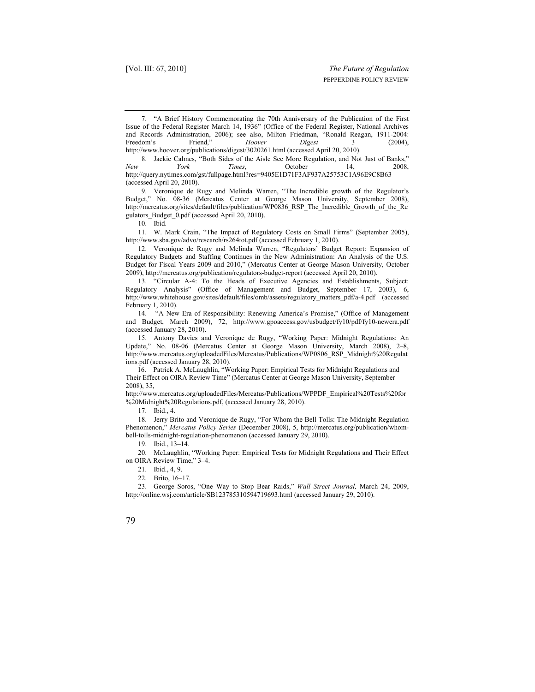7. "A Brief History Commemorating the 70th Anniversary of the Publication of the First Issue of the Federal Register March 14, 1936" (Office of the Federal Register, National Archives and Records Administration, 2006); see also, Milton Friedman, "Ronald Reagan, 1911-2004: Freedom's Friend," *Hoover Digest* 3 (2004), http://www.hoover.org/publications/digest/3020261.html (accessed April 20, 2010).

8. Jackie Calmes, "Both Sides of the Aisle See More Regulation, and Not Just of Banks,"<br>New York Times October 14 2008 *New York Times*, October 14, 2008, http://query.nytimes.com/gst/fullpage.html?res=9405E1D71F3AF937A25753C1A96E9C8B63 (accessed April 20, 2010).

 9. Veronique de Rugy and Melinda Warren, "The Incredible growth of the Regulator's Budget," No. 08-36 (Mercatus Center at George Mason University, September 2008), http://mercatus.org/sites/default/files/publication/WP0836\_RSP\_The\_Incredible\_Growth\_of\_the\_Re gulators\_Budget\_0.pdf (accessed April 20, 2010).

10. Ibid.

 11. W. Mark Crain, "The Impact of Regulatory Costs on Small Firms" (September 2005), http://www.sba.gov/advo/research/rs264tot.pdf (accessed February 1, 2010).

 12. Veronique de Rugy and Melinda Warren, "Regulators' Budget Report: Expansion of Regulatory Budgets and Staffing Continues in the New Administration: An Analysis of the U.S. Budget for Fiscal Years 2009 and 2010," (Mercatus Center at George Mason University, October 2009), http://mercatus.org/publication/regulators-budget-report (accessed April 20, 2010).

 13. "Circular A-4: To the Heads of Executive Agencies and Establishments, Subject: Regulatory Analysis" (Office of Management and Budget, September 17, 2003), 6, http://www.whitehouse.gov/sites/default/files/omb/assets/regulatory\_matters\_pdf/a-4.pdf (accessed February 1, 2010).

 14. "A New Era of Responsibility: Renewing America's Promise," (Office of Management and Budget, March 2009), 72, http://www.gpoaccess.gov/usbudget/fy10/pdf/fy10-newera.pdf (accessed January 28, 2010).

 15. Antony Davies and Veronique de Rugy, "Working Paper: Midnight Regulations: An Update," No. 08-06 (Mercatus Center at George Mason University, March 2008), 2–8, http://www.mercatus.org/uploadedFiles/Mercatus/Publications/WP0806\_RSP\_Midnight%20Regulat ions.pdf (accessed January 28, 2010).

 16. Patrick A. McLaughlin, "Working Paper: Empirical Tests for Midnight Regulations and Their Effect on OIRA Review Time" (Mercatus Center at George Mason University, September 2008), 35,

http://www.mercatus.org/uploadedFiles/Mercatus/Publications/WPPDF\_Empirical%20Tests%20for %20Midnight%20Regulations.pdf, (accessed January 28, 2010).

17. Ibid., 4.

 18. Jerry Brito and Veronique de Rugy, "For Whom the Bell Tolls: The Midnight Regulation Phenomenon," *Mercatus Policy Series* (December 2008), 5, http://mercatus.org/publication/whombell-tolls-midnight-regulation-phenomenon (accessed January 29, 2010).

19. Ibid., 13–14.

 20. McLaughlin, "Working Paper: Empirical Tests for Midnight Regulations and Their Effect on OIRA Review Time," 3–4.

21. Ibid., 4, 9.

22. Brito, 16–17.

 23. George Soros, "One Way to Stop Bear Raids," *Wall Street Journal,* March 24, 2009, http://online.wsj.com/article/SB123785310594719693.html (accessed January 29, 2010).